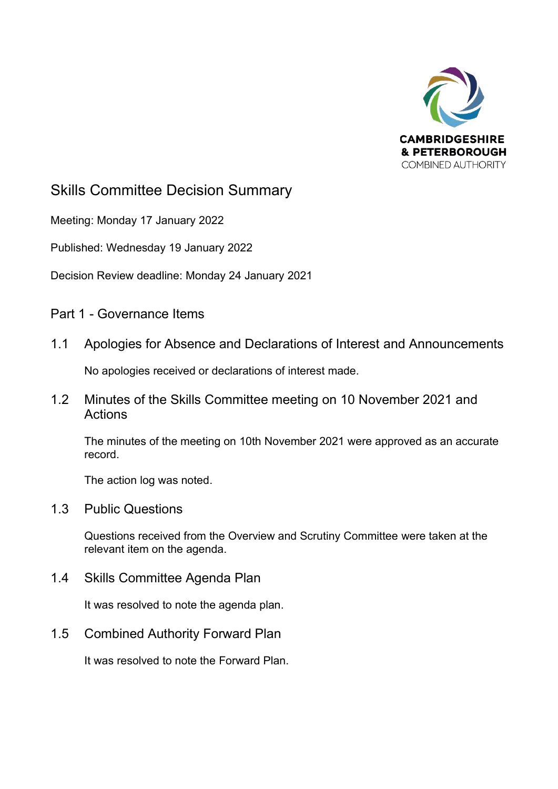

## Skills Committee Decision Summary

Meeting: Monday 17 January 2022

Published: Wednesday 19 January 2022

Decision Review deadline: Monday 24 January 2021

Part 1 - Governance Items

1.1 Apologies for Absence and Declarations of Interest and Announcements

No apologies received or declarations of interest made.

1.2 Minutes of the Skills Committee meeting on 10 November 2021 and Actions

The minutes of the meeting on 10th November 2021 were approved as an accurate record.

The action log was noted.

1.3 Public Questions

Questions received from the Overview and Scrutiny Committee were taken at the relevant item on the agenda.

1.4 Skills Committee Agenda Plan

It was resolved to note the agenda plan.

1.5 Combined Authority Forward Plan

It was resolved to note the Forward Plan.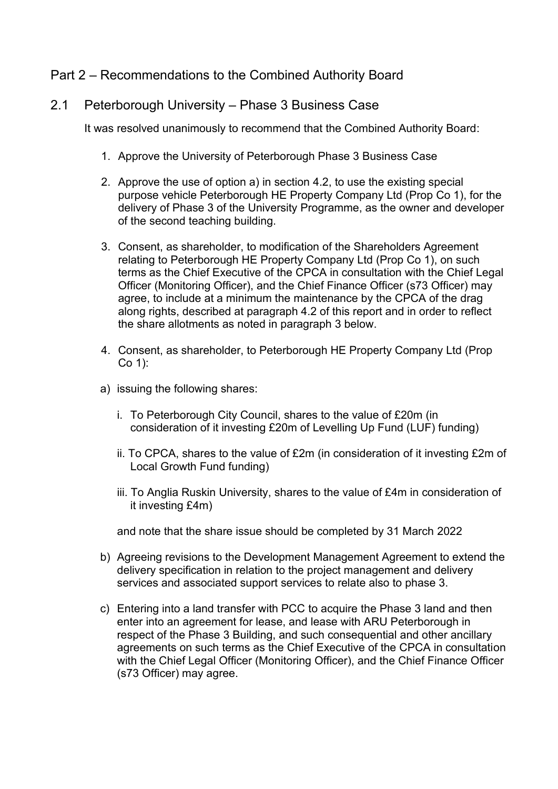## Part 2 – Recommendations to the Combined Authority Board

### 2.1 Peterborough University – Phase 3 Business Case

It was resolved unanimously to recommend that the Combined Authority Board:

- 1. Approve the University of Peterborough Phase 3 Business Case
- 2. Approve the use of option a) in section 4.2, to use the existing special purpose vehicle Peterborough HE Property Company Ltd (Prop Co 1), for the delivery of Phase 3 of the University Programme, as the owner and developer of the second teaching building.
- 3. Consent, as shareholder, to modification of the Shareholders Agreement relating to Peterborough HE Property Company Ltd (Prop Co 1), on such terms as the Chief Executive of the CPCA in consultation with the Chief Legal Officer (Monitoring Officer), and the Chief Finance Officer (s73 Officer) may agree, to include at a minimum the maintenance by the CPCA of the drag along rights, described at paragraph 4.2 of this report and in order to reflect the share allotments as noted in paragraph 3 below.
- 4. Consent, as shareholder, to Peterborough HE Property Company Ltd (Prop Co 1):
- a) issuing the following shares:
	- i. To Peterborough City Council, shares to the value of £20m (in consideration of it investing £20m of Levelling Up Fund (LUF) funding)
	- ii. To CPCA, shares to the value of £2m (in consideration of it investing £2m of Local Growth Fund funding)
	- iii. To Anglia Ruskin University, shares to the value of £4m in consideration of it investing £4m)

and note that the share issue should be completed by 31 March 2022

- b) Agreeing revisions to the Development Management Agreement to extend the delivery specification in relation to the project management and delivery services and associated support services to relate also to phase 3.
- c) Entering into a land transfer with PCC to acquire the Phase 3 land and then enter into an agreement for lease, and lease with ARU Peterborough in respect of the Phase 3 Building, and such consequential and other ancillary agreements on such terms as the Chief Executive of the CPCA in consultation with the Chief Legal Officer (Monitoring Officer), and the Chief Finance Officer (s73 Officer) may agree.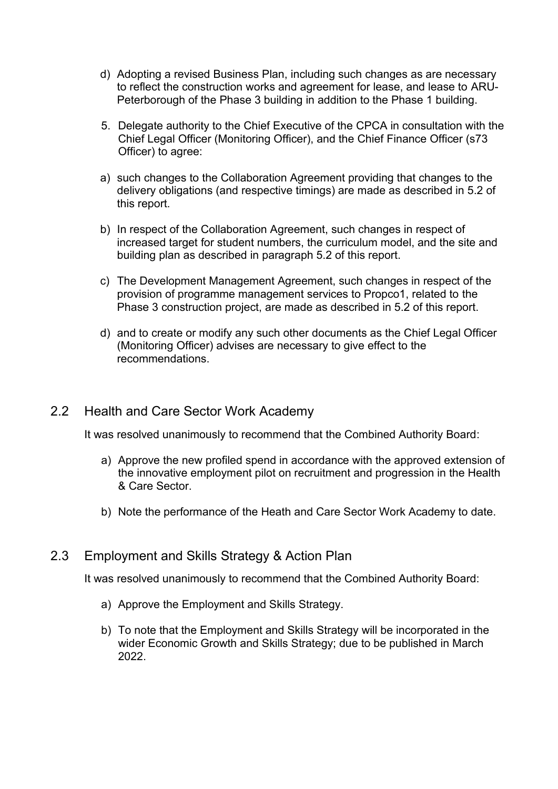- d) Adopting a revised Business Plan, including such changes as are necessary to reflect the construction works and agreement for lease, and lease to ARU-Peterborough of the Phase 3 building in addition to the Phase 1 building.
- 5. Delegate authority to the Chief Executive of the CPCA in consultation with the Chief Legal Officer (Monitoring Officer), and the Chief Finance Officer (s73 Officer) to agree:
- a) such changes to the Collaboration Agreement providing that changes to the delivery obligations (and respective timings) are made as described in 5.2 of this report.
- b) In respect of the Collaboration Agreement, such changes in respect of increased target for student numbers, the curriculum model, and the site and building plan as described in paragraph 5.2 of this report.
- c) The Development Management Agreement, such changes in respect of the provision of programme management services to Propco1, related to the Phase 3 construction project, are made as described in 5.2 of this report.
- d) and to create or modify any such other documents as the Chief Legal Officer (Monitoring Officer) advises are necessary to give effect to the recommendations.

#### 2.2 Health and Care Sector Work Academy

It was resolved unanimously to recommend that the Combined Authority Board:

- a) Approve the new profiled spend in accordance with the approved extension of the innovative employment pilot on recruitment and progression in the Health & Care Sector.
- b) Note the performance of the Heath and Care Sector Work Academy to date.

#### 2.3 Employment and Skills Strategy & Action Plan

It was resolved unanimously to recommend that the Combined Authority Board:

- a) Approve the Employment and Skills Strategy.
- b) To note that the Employment and Skills Strategy will be incorporated in the wider Economic Growth and Skills Strategy; due to be published in March 2022.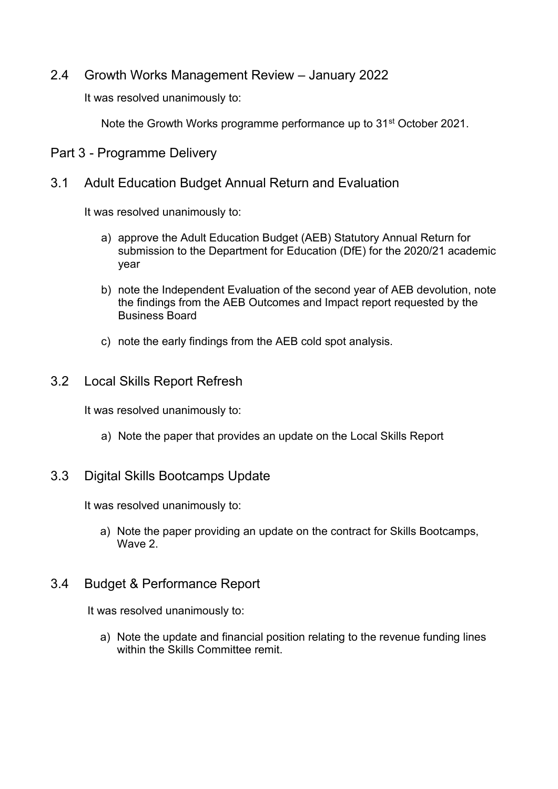2.4 Growth Works Management Review – January 2022

It was resolved unanimously to:

Note the Growth Works programme performance up to 31st October 2021.

Part 3 - Programme Delivery

3.1 Adult Education Budget Annual Return and Evaluation

It was resolved unanimously to:

- a) approve the Adult Education Budget (AEB) Statutory Annual Return for submission to the Department for Education (DfE) for the 2020/21 academic year
- b) note the Independent Evaluation of the second year of AEB devolution, note the findings from the AEB Outcomes and Impact report requested by the Business Board
- c) note the early findings from the AEB cold spot analysis.

## 3.2 Local Skills Report Refresh

It was resolved unanimously to:

a) Note the paper that provides an update on the Local Skills Report

#### 3.3 Digital Skills Bootcamps Update

It was resolved unanimously to:

a) Note the paper providing an update on the contract for Skills Bootcamps, Wave 2

## 3.4 Budget & Performance Report

It was resolved unanimously to:

a) Note the update and financial position relating to the revenue funding lines within the Skills Committee remit.